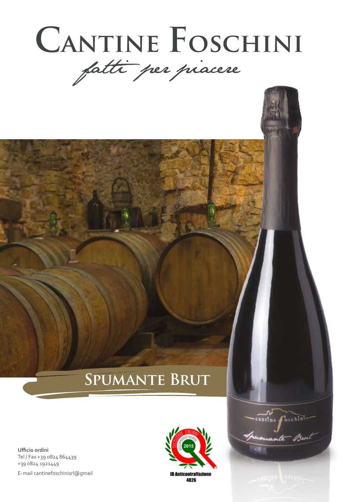

# **Spumante Brut**

**Ufficio ordini** Tel / Fax +39 0824 864439 +39 0824 1921449 E-mail cantinefoschinisrl@gmail



cantine foschini